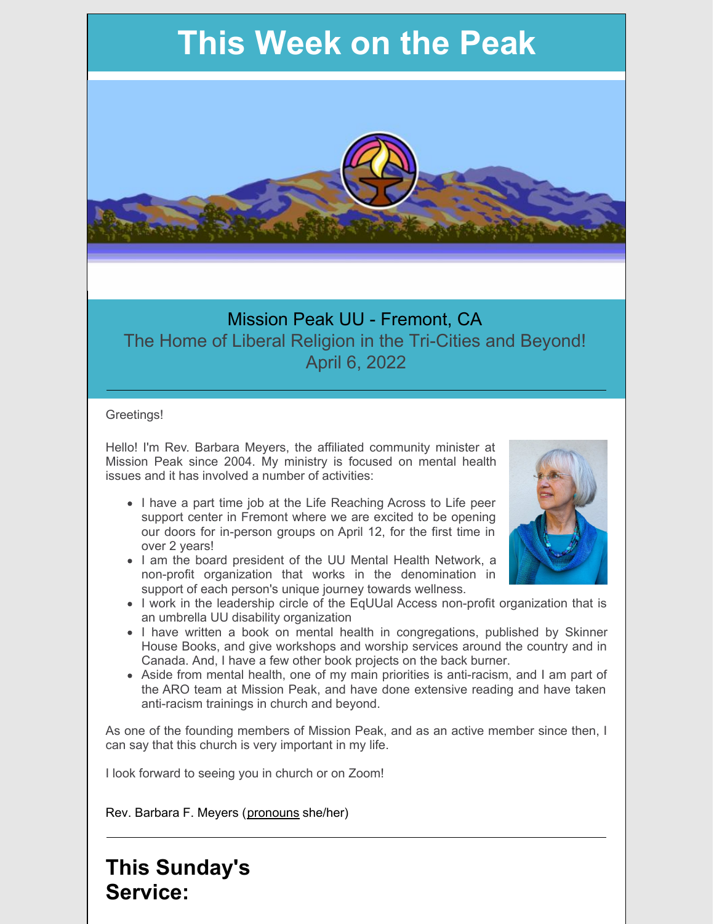# **This Week on the Peak**



### Mission Peak UU - Fremont, CA The Home of Liberal Religion in the Tri-Cities and Beyond! April 6, 2022

#### Greetings!

Hello! I'm Rev. Barbara Meyers, the affiliated community minister at Mission Peak since 2004. My ministry is focused on mental health issues and it has involved a number of activities:

- I have a part time job at the Life Reaching Across to Life peer support center in Fremont where we are excited to be opening our doors for in-person groups on April 12, for the first time in over 2 years!
- I am the board president of the UU Mental Health Network, a non-profit organization that works in the denomination in support of each person's unique journey towards wellness.



- I work in the leadership circle of the EqUUal Access non-profit organization that is an umbrella UU disability organization
- I have written a book on mental health in congregations, published by Skinner House Books, and give workshops and worship services around the country and in Canada. And, I have a few other book projects on the back burner.
- Aside from mental health, one of my main priorities is anti-racism, and I am part of the ARO team at Mission Peak, and have done extensive reading and have taken anti-racism trainings in church and beyond.

As one of the founding members of Mission Peak, and as an active member since then, I can say that this church is very important in my life.

I look forward to seeing you in church or on Zoom!

Rev. Barbara F. Meyers [\(pronouns](https://www.mypronouns.org/what-and-why) she/her)

**This Sunday's Service:**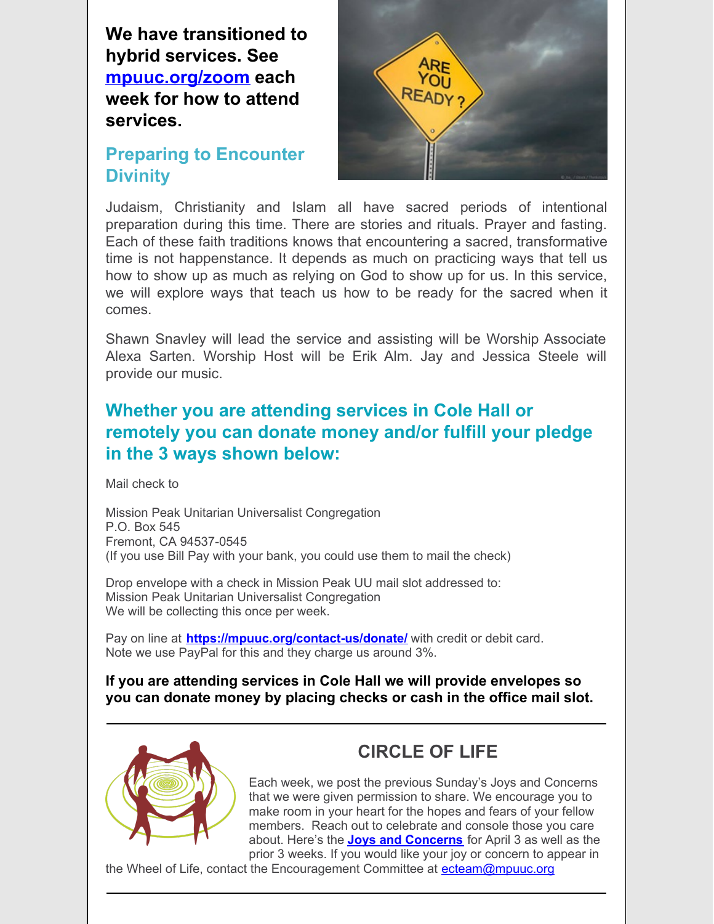**We have transitioned to hybrid services. See [mpuuc.org/zoom](http://r20.rs6.net/tn.jsp?f=001lrVp8cJ2zHOyflHykk7zoF174aFv5n56P3LtD1JVGo6KETO6zBYetSRs5aEvFDO-ngYrdZcw3fhckmMxiL0jSnwgAc0fzMgBcQk8qyjiO5eGaSEmurVNnwhw0i9iii_QJPCbUztEnJJc-MjGyz6M4_AsvW5Itrxn2Ba4H9lxKRw=&c=uzAVhLTBhLDtZEaCeuGPQKO-FwoSJlrG7wZs04PQmTHrMhFcZXzXCQ==&ch=Ky6iH1AjA-GtU86VT6mONoEUwPhSuPgHeOn1gYrrK378geVLX1r9NQ==) each week for how to attend services.**

#### **Preparing to Encounter Divinity**



Judaism, Christianity and Islam all have sacred periods of intentional preparation during this time. There are stories and rituals. Prayer and fasting. Each of these faith traditions knows that encountering a sacred, transformative time is not happenstance. It depends as much on practicing ways that tell us how to show up as much as relying on God to show up for us. In this service, we will explore ways that teach us how to be ready for the sacred when it comes.

Shawn Snavley will lead the service and assisting will be Worship Associate Alexa Sarten. Worship Host will be Erik Alm. Jay and Jessica Steele will provide our music.

### **Whether you are attending services in Cole Hall or remotely you can donate money and/or fulfill your pledge in the 3 ways shown below:**

Mail check to

Mission Peak Unitarian Universalist Congregation P.O. Box 545 Fremont, CA 94537-0545 (If you use Bill Pay with your bank, you could use them to mail the check)

Drop envelope with a check in Mission Peak UU mail slot addressed to: Mission Peak Unitarian Universalist Congregation We will be collecting this once per week.

Pay on line at **<https://mpuuc.org/contact-us/donate/>** with credit or debit card. Note we use PayPal for this and they charge us around 3%.

#### **If you are attending services in Cole Hall we will provide envelopes so you can donate money by placing checks or cash in the office mail slot.**



### **CIRCLE OF LIFE**

Each week, we post the previous Sunday's Joys and Concerns that we were given permission to share. We encourage you to make room in your heart for the hopes and fears of your fellow members. Reach out to celebrate and console those you care about. Here's the **Joys and [Concerns](https://docs.google.com/document/d/1_v7Ifc-FfM7AFuL2dNdpz9Ll9_jwQ9vH/edit)** for April 3 as well as the prior 3 weeks. If you would like your joy or concern to appear in

the Wheel of Life, contact the Encouragement Committee at [ecteam@mpuuc.org](mailto:ecteam@mpuuc.org)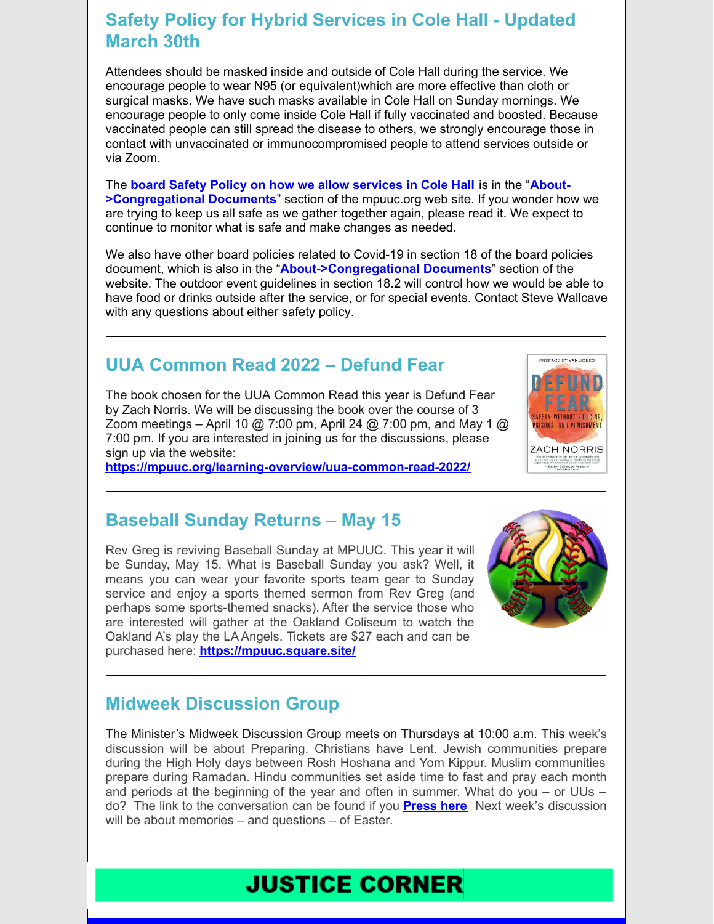#### **Safety Policy for Hybrid Services in Cole Hall - Updated March 30th**

Attendees should be masked inside and outside of Cole Hall during the service. We encourage people to wear N95 (or equivalent)which are more effective than cloth or surgical masks. We have such masks available in Cole Hall on Sunday mornings. We encourage people to only come inside Cole Hall if fully vaccinated and boosted. Because vaccinated people can still spread the disease to others, we strongly encourage those in contact with unvaccinated or immunocompromised people to attend services outside or via Zoom.

The **board Safety Policy on how we allow [services](https://mpuuc.org/wp-content/uploads/2022/03/Policy-on-services-in-Cole-Hall-starting-March-30.pdf) in Cole Hall** is in the "**About- [>Congregational](https://mpuuc.org/about-us/congregational-documents/) Documents**" section of the mpuuc.org web site. If you wonder how we are trying to keep us all safe as we gather together again, please read it. We expect to continue to monitor what is safe and make changes as needed.

We also have other board policies related to Covid-19 in section 18 of the board policies document, which is also in the "**[About->Congregational](https://mpuuc.org/about-us/congregational-documents/) Documents**" section of the website. The outdoor event guidelines in section 18.2 will control how we would be able to have food or drinks outside after the service, or for special events. Contact Steve Wallcave with any questions about either safety policy.

### **UUA Common Read 2022 – Defund Fear**

The book chosen for the UUA Common Read this year is Defund Fear by Zach Norris. We will be discussing the book over the course of 3 Zoom meetings – April 10 @ 7:00 pm, April 24 @ 7:00 pm, and May 1 @ 7:00 pm. If you are interested in joining us for the discussions, please sign up via the website:

**<https://mpuuc.org/learning-overview/uua-common-read-2022/>**



#### **Baseball Sunday Returns – May 15**

Rev Greg is reviving Baseball Sunday at MPUUC. This year it will be Sunday, May 15. What is Baseball Sunday you ask? Well, it means you can wear your favorite sports team gear to Sunday service and enjoy a sports themed sermon from Rev Greg (and perhaps some sports-themed snacks). After the service those who are interested will gather at the Oakland Coliseum to watch the Oakland A's play the LA Angels. Tickets are \$27 each and can be purchased here: **<https://mpuuc.square.site/>**



### **Midweek Discussion Group**

The Minister's Midweek Discussion Group meets on Thursdays at 10:00 a.m. This week's discussion will be about Preparing. Christians have Lent. Jewish communities prepare during the High Holy days between Rosh Hoshana and Yom Kippur. Muslim communities prepare during Ramadan. Hindu communities set aside time to fast and pray each month and periods at the beginning of the year and often in summer. What do you – or UUs – do? The link to the conversation can be found if you **[Press](https://us02web.zoom.us/j/85171863480?pwd=SGlFMExoR2gxM2pSSnRYSFhzT3l3Zz09#success) here** Next week's discussion will be about memories – and questions – of Easter.

## **JUSTICE CORNER**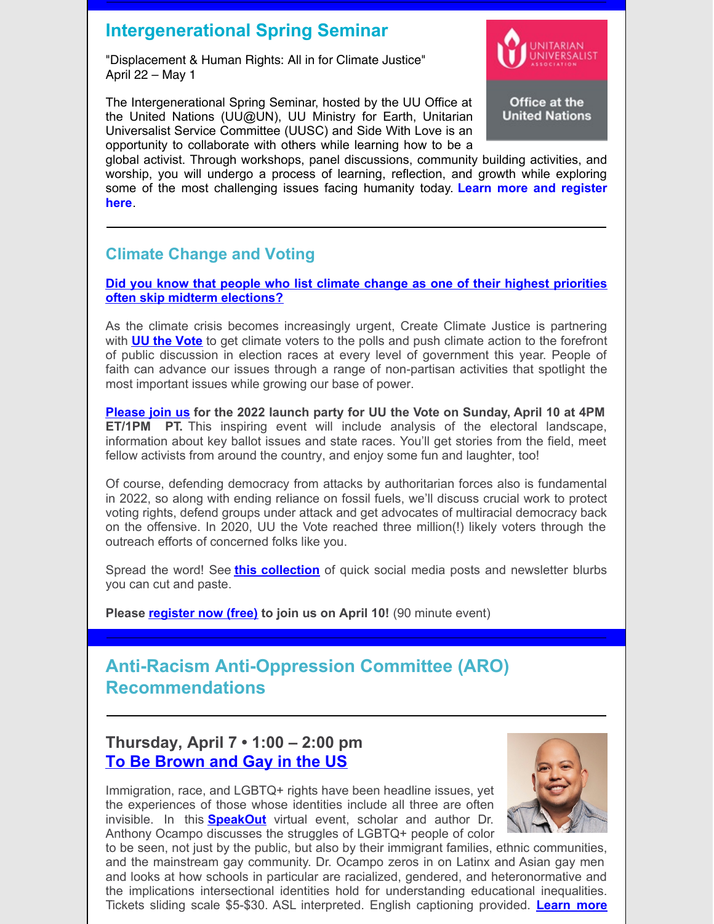### **Intergenerational Spring Seminar**

"Displacement & Human Rights: All in for Climate Justice" April 22 – May 1

The Intergenerational Spring Seminar, hosted by the UU Office at the United Nations (UU@UN), UU Ministry for Earth, Unitarian Universalist Service Committee (UUSC) and Side With Love is an opportunity to collaborate with others while learning how to be a



Office at the **United Nations** 

global activist. Through workshops, panel discussions, community building activities, and worship, you will undergo a process of learning, reflection, and growth while exploring some of the most [challenging](https://uua874.acemlna.com/lt.php?s=22c327b8ef60803265ed2877f98022ac&i=2716A5672A16A83726) issues facing humanity today. **Learn more and register here**.

#### **Climate Change and Voting**

**Did you know that people who list climate change as one of their highest priorities often skip midterm [elections?](https://click.everyaction.com/k/43775398/338649957/106470723?nvep=ew0KICAiVGVuYW50VXJpIjogIm5ncHZhbjovL3Zhbi9FQS9FQTAwNS8xLzc5MDg1IiwNCiAgIkRpc3RyaWJ1dGlvblVuaXF1ZUlkIjogIjlkOTQxMjliLTYxYjQtZWMxMS05OTdlLTI4MTg3OGI4M2Q4YSIsDQogICJFbWFpbEFkZHJlc3MiOiAiYWxseXNzb25tY2RvbmFsZEBnbWFpbC5jb20iDQp9&hmac=34CypICVuMiJEIj4rL_q4NoEmvT7DCc84PGKbYKizgc=&emci=fa7a141a-5ab4-ec11-997e-281878b83d8a&emdi=9d94129b-61b4-ec11-997e-281878b83d8a&ceid=2432639)**

As the climate crisis becomes increasingly urgent, Create Climate Justice is partnering with **UU the [Vote](https://click.everyaction.com/k/43775399/338649958/-793628283?nvep=ew0KICAiVGVuYW50VXJpIjogIm5ncHZhbjovL3Zhbi9FQS9FQTAwNS8xLzc5MDg1IiwNCiAgIkRpc3RyaWJ1dGlvblVuaXF1ZUlkIjogIjlkOTQxMjliLTYxYjQtZWMxMS05OTdlLTI4MTg3OGI4M2Q4YSIsDQogICJFbWFpbEFkZHJlc3MiOiAiYWxseXNzb25tY2RvbmFsZEBnbWFpbC5jb20iDQp9&hmac=34CypICVuMiJEIj4rL_q4NoEmvT7DCc84PGKbYKizgc=&emci=fa7a141a-5ab4-ec11-997e-281878b83d8a&emdi=9d94129b-61b4-ec11-997e-281878b83d8a&ceid=2432639)** to get climate voters to the polls and push climate action to the forefront of public discussion in election races at every level of government this year. People of faith can advance our issues through a range of non-partisan activities that spotlight the most important issues while growing our base of power.

**[Please](https://click.everyaction.com/k/43775400/338649959/2045356577?contactdata=xkF5+xucpNeo8ZjepD1Xp1Em2u1jqGqUCEfXphKufefYVsCMf9KOqPNBm%2fKmiuX0PcGwg0ecfWzJp90637PflzOCph5CxkXcl1zVOWpC0gtI4koskCpmaHMnVVM70aQE9IJC8oKF%2fctBQlexh%2fSnyxnA0iit57aYHwRxJOcOxmrRAxf8XcHBjKbmgmTfl9+eZ0q0%2fxAVLbZbO1CXTBChgQ%3d%3d&emci=19efd94d-64b0-ec11-997e-281878b83d8a&emdi=373aebce-6eb0-ec11-997e-281878b83d8a&ceid=24135478&nvep=ew0KICAiVGVuYW50VXJpIjogIm5ncHZhbjovL3Zhbi9FQS9FQTAwNS8xLzc5MDg1IiwNCiAgIkRpc3RyaWJ1dGlvblVuaXF1ZUlkIjogIjlkOTQxMjliLTYxYjQtZWMxMS05OTdlLTI4MTg3OGI4M2Q4YSIsDQogICJFbWFpbEFkZHJlc3MiOiAiYWxseXNzb25tY2RvbmFsZEBnbWFpbC5jb20iDQp9&hmac=34CypICVuMiJEIj4rL_q4NoEmvT7DCc84PGKbYKizgc=) join us for the 2022 launch party for UU the Vote on Sunday, April 10 at 4PM ET/1PM PT.** This inspiring event will include analysis of the electoral landscape, information about key ballot issues and state races. You'll get stories from the field, meet fellow activists from around the country, and enjoy some fun and laughter, too!

Of course, defending democracy from attacks by authoritarian forces also is fundamental in 2022, so along with ending reliance on fossil fuels, we'll discuss crucial work to protect voting rights, defend groups under attack and get advocates of multiracial democracy back on the offensive. In 2020, UU the Vote reached three million(!) likely voters through the outreach efforts of concerned folks like you.

Spread the word! See **this [collection](https://click.everyaction.com/k/43775401/338649960/197381533?nvep=ew0KICAiVGVuYW50VXJpIjogIm5ncHZhbjovL3Zhbi9FQS9FQTAwNS8xLzc5MDg1IiwNCiAgIkRpc3RyaWJ1dGlvblVuaXF1ZUlkIjogIjlkOTQxMjliLTYxYjQtZWMxMS05OTdlLTI4MTg3OGI4M2Q4YSIsDQogICJFbWFpbEFkZHJlc3MiOiAiYWxseXNzb25tY2RvbmFsZEBnbWFpbC5jb20iDQp9&hmac=34CypICVuMiJEIj4rL_q4NoEmvT7DCc84PGKbYKizgc=&emci=fa7a141a-5ab4-ec11-997e-281878b83d8a&emdi=9d94129b-61b4-ec11-997e-281878b83d8a&ceid=2432639)** of quick social media posts and newsletter blurbs you can cut and paste.

**Please [register](https://click.everyaction.com/k/43775402/338649961/2045356577?contactdata=xkF5+xucpNeo8ZjepD1Xp1Em2u1jqGqUCEfXphKufefYVsCMf9KOqPNBm%2fKmiuX0PcGwg0ecfWzJp90637PflzOCph5CxkXcl1zVOWpC0gtI4koskCpmaHMnVVM70aQE9IJC8oKF%2fctBQlexh%2fSnyxnA0iit57aYHwRxJOcOxmrRAxf8XcHBjKbmgmTfl9+eZ0q0%2fxAVLbZbO1CXTBChgQ%3d%3d&emci=19efd94d-64b0-ec11-997e-281878b83d8a&emdi=373aebce-6eb0-ec11-997e-281878b83d8a&ceid=24135478&nvep=ew0KICAiVGVuYW50VXJpIjogIm5ncHZhbjovL3Zhbi9FQS9FQTAwNS8xLzc5MDg1IiwNCiAgIkRpc3RyaWJ1dGlvblVuaXF1ZUlkIjogIjlkOTQxMjliLTYxYjQtZWMxMS05OTdlLTI4MTg3OGI4M2Q4YSIsDQogICJFbWFpbEFkZHJlc3MiOiAiYWxseXNzb25tY2RvbmFsZEBnbWFpbC5jb20iDQp9&hmac=34CypICVuMiJEIj4rL_q4NoEmvT7DCc84PGKbYKizgc=) now (free) to join us on April 10!** (90 minute event)

### **Anti-Racism Anti-Oppression Committee (ARO) Recommendations**

#### **Thursday, April 7 • 1:00 – 2:00 pm To Be [Brown](https://u1584542.ct.sendgrid.net/ss/c/atcYNHk4Eh2YdGnwBh-YDJdCejuAPFe4vOUOTkrF_HNGyecu9KBR0oUZImBHT5A0YelGkPEYPOH1OdiK8YXCzY4xVDA_sCGAMpS1PleYPra_NvxwFU_4CQDU5wl6d5L5OeYVHDHtqVE28ePGOgY4p6vsYNs2ufUCgmFzAkVOQ8mFhVlZgNxJ2rUAEmSbd3JimI0EL9yq7wXZG03qC4TUoPE_6CjetCiv2PMMWLO_lSnOHZeFXP4l1rAbfxDx1GUsK8Nt1P3NV13V8iVZ1i-_F-0cwNoT7D2sRPSI4rQUWvpTcASk21pxs4sVC4gmdYhUJaLc95GgtEEfTRePXDXjgXP9suZCeqgfEZart0qzUdQyFQqX4VJ20JKsB1v0YfLlyiJAznphV_QirweXKgmK-Av3QpXCIOwjkgksLJKzUKv6h1f9IVluNbLxvyi1wrJsLQbOzL4mygYzuLb8vV3jC-haJbDGhuuRXDDdd-yRKRiOT8AJHQB-PddPZw0To_olHVrsWWvK6pA-hGDIyb43qLMLuOaaMveUEt82jgS1BAE/3kx/rkbrvwh4QwuvBmoS0g54gg/h0/gnmm60-gIDP5U5qdbRYNRUZRhWniN7G6Air0hlAaIl8) and Gay in the US**

Immigration, race, and LGBTQ+ rights have been headline issues, yet the experiences of those whose identities include all three are often invisible. In this **[SpeakOut](https://u1584542.ct.sendgrid.net/ss/c/wehEm_vu1NBVXOKYSqOxTJS84hLWl_k9gBGsQ7EBQijwepThu-yGrJ3dvifA4KuEUM8k6X1dwJM79xvyfxQx53Od4VMHQ1AeRDdlTEv4GeYFDA8DiO_iaOvJQrhLIzbeE6i_IIwd7_Lx2wlDGF7S-4yw8arKW4v-PgQFv1nOkGr00grlVZ3C1a8UtabIEtk4KaAo04ruaP9b9YMNnwJe0OLpxBDK80u6Ojnz0eHcNHOlff3PeLXNsXG6c1to9MqJD2El91dM62OzGKuYFkXlHVG4FUWIWQkdMCHRXSUo4T-50q556h2spqe_GTy2CzBfDyLfuzh3oMnbq6_dM6268kctD-x--WO-8FbB0ZpdcoIK-9FQAyjC3K00LJ8Lh51mPpSpzqJvOyjYelbJB3aka047gmqLw0irpUcitH_haI1BWOV_iSIwqvKUh48jhs9d/3kx/rkbrvwh4QwuvBmoS0g54gg/h2/4RF_nLb3t6IlrfH3_ZXKk_tXoH8qFUVEaJPg5OyMROA)** virtual event, scholar and author Dr. Anthony Ocampo discusses the struggles of LGBTQ+ people of color



to be seen, not just by the public, but also by their immigrant families, ethnic communities, and the mainstream gay community. Dr. Ocampo zeros in on Latinx and Asian gay men and looks at how schools in particular are racialized, gendered, and heteronormative and the implications intersectional identities hold for understanding educational inequalities. Tickets sliding scale \$5-\$30. ASL [interpreted.](https://u1584542.ct.sendgrid.net/ss/c/atcYNHk4Eh2YdGnwBh-YDJdCejuAPFe4vOUOTkrF_HNGyecu9KBR0oUZImBHT5A0YelGkPEYPOH1OdiK8YXCzY4xVDA_sCGAMpS1PleYPra_NvxwFU_4CQDU5wl6d5L5OeYVHDHtqVE28ePGOgY4p8CrTQXFD7K9NP-sTqKvvBj-Vz7dTtiQDS_2vyE4BOOqC6oxnn--a4rQmUIGmppUQ_6W-1R7ir1Irpq2XEwRItJNxPy2El81vFadk_a-lzriQLYj57No7XBwDUg6mVlULkyKsyZF07rTpkkGWZCjohC3egE1vTZRg8B69SKtymtQtoUvwlCgxDr3e9i25OfiVuZozczlaHyLnzUkJnAgKzGvXu7A9TQs3HTR28R2YkjX4ceVs_--Fb4Gsz61pUPyoJqJqEp6bCAzCs4NKIZXBURdFVwO1HY_vbq_Vj4UJ-oPr5teV_5KPOvJPQGV3VeGkuU_4D_1Jb8XkSg-YmiM84CJ6J6spZyj-LHAHkzBtKt9EDrjA-Adl7IWS2LNECqHuOaUpFmvbu3XqCQEhLaBeKE/3kx/rkbrvwh4QwuvBmoS0g54gg/h3/DR87wlimpohCDqg00wz0633kMtkmGxu4z4ZvLtAPC_I) English captioning provided. **Learn more**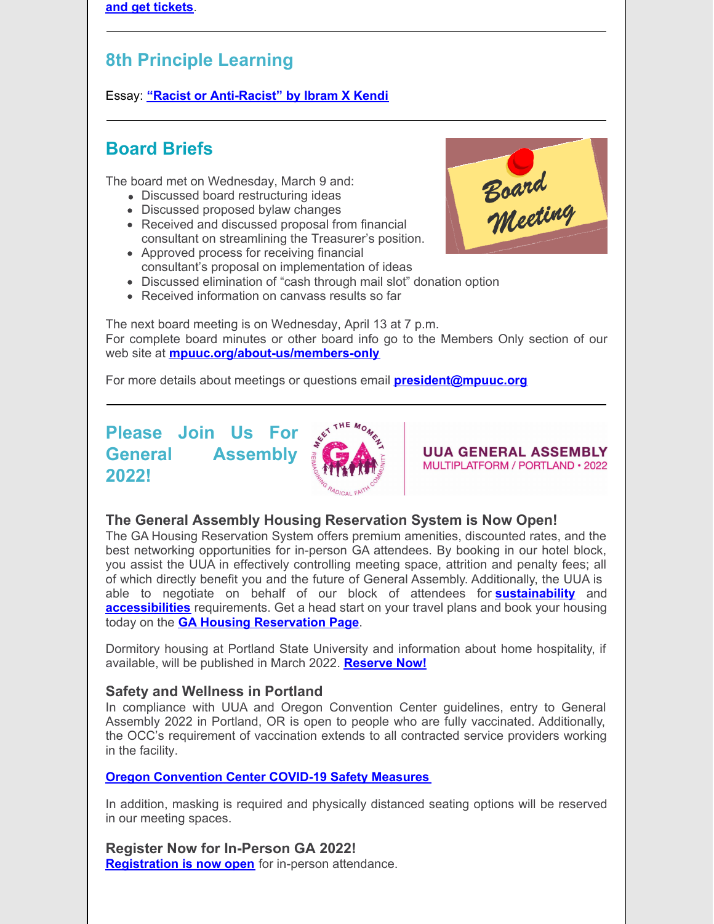**and get tickets**.

#### **8th Principle Learning**

Essay: **"Racist or [Anti-Racist"](https://www.uua.org/worship/words/reading/racist-or-antiracist) by Ibram X Kendi**

#### **Board Briefs**

The board met on Wednesday, March 9 and:

- Discussed board restructuring ideas
- Discussed proposed bylaw changes
- Received and discussed proposal from financial consultant on streamlining the Treasurer's position.
- Approved process for receiving financial consultant's proposal on implementation of ideas



- Discussed elimination of "cash through mail slot" donation option
- Received information on canvass results so far

The next board meeting is on Wednesday, April 13 at 7 p.m. For complete board minutes or other board info go to the Members Only section of our web site at **[mpuuc.org/about-us/members-only](http://mpuuc.org/about-us/members-only)**

For more details about meetings or questions email **[president@mpuuc.org](mailto:president@mpuuc.org)**

### **Please Join Us For General Assembly 2022!**



**UUA GENERAL ASSEMBLY** MULTIPLATFORM / PORTLAND · 2022

#### **The General Assembly Housing Reservation System is Now Open!**

The GA Housing Reservation System offers premium amenities, discounted rates, and the best networking opportunities for in-person GA attendees. By booking in our hotel block, you assist the UUA in effectively controlling meeting space, attrition and penalty fees; all of which directly benefit you and the future of General Assembly. Additionally, the UUA is able to negotiate on behalf of our block of attendees for **[sustainability](https://r20.rs6.net/tn.jsp?f=001luJlmeslUnEr5giC5IYWlYKQSYeNaZ6k8MGbAg4EtNAwO6awGHoTcCuc4iPDmNn-C2X-CYhvt5wWlxD0g7tdeZ3YgUyCHInNM-2mwMpGOA74Q2YFpcoOLIsT4JNLmeSMa7aazsTcPlU0ZbhXKL2hiHJh89Tc9azGl2pL7IOeeLs=&c=bYDWG_JdLf50qwhFLfJgERAm_D9-FEG8OMnTTWwpIqrtNg9Gkr4lQA==&ch=oVHV0V1faiHUJvPvG-hT5R8067ghLXAn7TURNke5CStZ_TpGVr_Iyg==)** and **[accessibilities](https://r20.rs6.net/tn.jsp?f=001luJlmeslUnEr5giC5IYWlYKQSYeNaZ6k8MGbAg4EtNAwO6awGHoTcCuc4iPDmNn-1iY39zvkIbQTW4Aq-MeWh60u4h4DRe_tIbr_d7ceRZiY0B3kEsh4dNqcBCj7FK4mY5BV5Det_v_B04awlABDGUfCJPPv3WrxCkiijGT4gy9LTqekJS8cLg==&c=bYDWG_JdLf50qwhFLfJgERAm_D9-FEG8OMnTTWwpIqrtNg9Gkr4lQA==&ch=oVHV0V1faiHUJvPvG-hT5R8067ghLXAn7TURNke5CStZ_TpGVr_Iyg==)** requirements. Get a head start on your travel plans and book your housing today on the **GA Housing [Reservation](https://r20.rs6.net/tn.jsp?f=001luJlmeslUnEr5giC5IYWlYKQSYeNaZ6k8MGbAg4EtNAwO6awGHoTcCuc4iPDmNn-yKw5NiGOTtq_trkX-BTo6VLwiH9A-n26O1X2JZP3x96yGBD8-defGv0lojqG24Xo_IaDBdWtXuLgmhlPPGAy9oYQUKm7StesZB6eSDkGHocEZQsDajgveAgFsgPaRtUaN9Vk_vCgkY0=&c=bYDWG_JdLf50qwhFLfJgERAm_D9-FEG8OMnTTWwpIqrtNg9Gkr4lQA==&ch=oVHV0V1faiHUJvPvG-hT5R8067ghLXAn7TURNke5CStZ_TpGVr_Iyg==) Page**.

Dormitory housing at Portland State University and information about home hospitality, if available, will be published in March 2022. **[Reserve](https://r20.rs6.net/tn.jsp?f=001luJlmeslUnEr5giC5IYWlYKQSYeNaZ6k8MGbAg4EtNAwO6awGHoTcCuc4iPDmNn-yKw5NiGOTtq_trkX-BTo6VLwiH9A-n26O1X2JZP3x96yGBD8-defGv0lojqG24Xo_IaDBdWtXuLgmhlPPGAy9oYQUKm7StesZB6eSDkGHocEZQsDajgveAgFsgPaRtUaN9Vk_vCgkY0=&c=bYDWG_JdLf50qwhFLfJgERAm_D9-FEG8OMnTTWwpIqrtNg9Gkr4lQA==&ch=oVHV0V1faiHUJvPvG-hT5R8067ghLXAn7TURNke5CStZ_TpGVr_Iyg==) Now!**

#### **Safety and Wellness in Portland**

In compliance with UUA and Oregon Convention Center guidelines, entry to General Assembly 2022 in Portland, OR is open to people who are fully vaccinated. Additionally, the OCC's requirement of vaccination extends to all contracted service providers working in the facility.

#### **Oregon [Convention](https://r20.rs6.net/tn.jsp?f=001luJlmeslUnEr5giC5IYWlYKQSYeNaZ6k8MGbAg4EtNAwO6awGHoTcCuc4iPDmNn-APVySmcfKYcPVvNCEX-Nkuj3wwkmZyURUUQjpqJnX7xTTZ-xMHuomZLABieyFwNMrnjE9oqAtJyzafmHQ1DMA7pRiMUz9Kv0ArMFgC7tADMe72BcuDflU-q0QBG4a5pBdd3lxOUC5WE=&c=bYDWG_JdLf50qwhFLfJgERAm_D9-FEG8OMnTTWwpIqrtNg9Gkr4lQA==&ch=oVHV0V1faiHUJvPvG-hT5R8067ghLXAn7TURNke5CStZ_TpGVr_Iyg==) Center COVID-19 Safety Measures**

In addition, masking is required and physically distanced seating options will be reserved in our meeting spaces.

**Register Now for In-Person GA 2022! [Registration](https://r20.rs6.net/tn.jsp?f=001luJlmeslUnEr5giC5IYWlYKQSYeNaZ6k8MGbAg4EtNAwO6awGHoTcEF3358U680GTaxg7TUoBghd-vbMJOkXl-8bgaS4C1h6d-2evBheKpfvczkniMjX5F09egCa-y2iPO8vJ5fB7nNb9Z9MStH3r89yjSzKRja1&c=bYDWG_JdLf50qwhFLfJgERAm_D9-FEG8OMnTTWwpIqrtNg9Gkr4lQA==&ch=oVHV0V1faiHUJvPvG-hT5R8067ghLXAn7TURNke5CStZ_TpGVr_Iyg==) is now open** for in-person attendance.